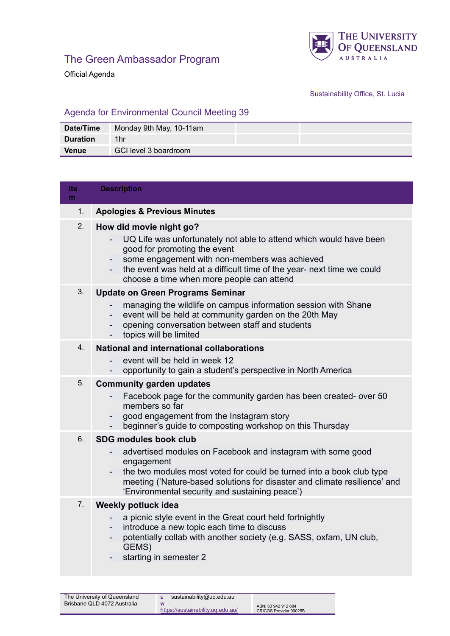

Official Agenda

## Sustainability Office, St. Lucia

## Agenda for Environmental Council Meeting 39

| Date/Time       | Monday 9th May, 10-11am |
|-----------------|-------------------------|
| <b>Duration</b> | 1hr                     |
| <b>Venue</b>    | GCI level 3 boardroom   |

| lte<br>m | <b>Description</b>                                                                                                                                                                                                                                                                                               |
|----------|------------------------------------------------------------------------------------------------------------------------------------------------------------------------------------------------------------------------------------------------------------------------------------------------------------------|
| 1.       | <b>Apologies &amp; Previous Minutes</b>                                                                                                                                                                                                                                                                          |
| 2.       | How did movie night go?<br>UQ Life was unfortunately not able to attend which would have been<br>good for promoting the event<br>some engagement with non-members was achieved<br>the event was held at a difficult time of the year- next time we could<br>choose a time when more people can attend            |
| 3.       | <b>Update on Green Programs Seminar</b><br>managing the wildlife on campus information session with Shane<br>event will be held at community garden on the 20th May<br>opening conversation between staff and students<br>topics will be limited                                                                 |
| 4.       | <b>National and international collaborations</b><br>event will be held in week 12<br>opportunity to gain a student's perspective in North America                                                                                                                                                                |
| 5.       | <b>Community garden updates</b><br>Facebook page for the community garden has been created- over 50<br>$\overline{\phantom{a}}$<br>members so far<br>good engagement from the Instagram story<br>$\overline{\phantom{a}}$<br>beginner's guide to composting workshop on this Thursday                            |
| 6.       | <b>SDG modules book club</b><br>advertised modules on Facebook and instagram with some good<br>engagement<br>the two modules most voted for could be turned into a book club type<br>meeting ('Nature-based solutions for disaster and climate resilience' and<br>'Environmental security and sustaining peace') |
| 7.       | Weekly potluck idea<br>a picnic style event in the Great court held fortnightly<br>introduce a new topic each time to discuss<br>potentially collab with another society (e.g. SASS, oxfam, UN club,<br>GEMS)<br>starting in semester 2                                                                          |